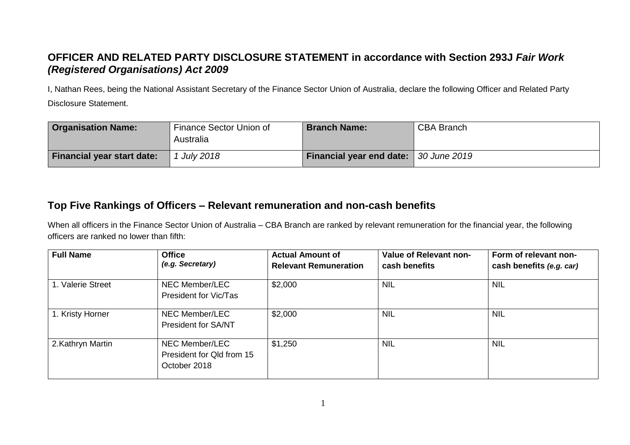## **OFFICER AND RELATED PARTY DISCLOSURE STATEMENT in accordance with Section 293J** *Fair Work (Registered Organisations) Act 2009*

I, Nathan Rees, being the National Assistant Secretary of the Finance Sector Union of Australia, declare the following Officer and Related Party Disclosure Statement.

| <b>Organisation Name:</b>         | Finance Sector Union of<br>Australia | <b>Branch Name:</b>                   | <b>CBA Branch</b> |
|-----------------------------------|--------------------------------------|---------------------------------------|-------------------|
| <b>Financial year start date:</b> | <b>July 2018</b>                     | Financial year end date: 30 June 2019 |                   |

## **Top Five Rankings of Officers – Relevant remuneration and non-cash benefits**

When all officers in the Finance Sector Union of Australia – CBA Branch are ranked by relevant remuneration for the financial year, the following officers are ranked no lower than fifth:

| <b>Full Name</b>  | <b>Office</b><br>(e.g. Secretary)                           | <b>Actual Amount of</b><br><b>Relevant Remuneration</b> | Value of Relevant non-<br>cash benefits | Form of relevant non-<br>cash benefits (e.g. car) |
|-------------------|-------------------------------------------------------------|---------------------------------------------------------|-----------------------------------------|---------------------------------------------------|
| 1. Valerie Street | NEC Member/LEC<br>President for Vic/Tas                     | \$2,000                                                 | <b>NIL</b>                              | <b>NIL</b>                                        |
| 1. Kristy Horner  | NEC Member/LEC<br>President for SA/NT                       | \$2,000                                                 | <b>NIL</b>                              | <b>NIL</b>                                        |
| 2.Kathryn Martin  | NEC Member/LEC<br>President for Qld from 15<br>October 2018 | \$1,250                                                 | <b>NIL</b>                              | <b>NIL</b>                                        |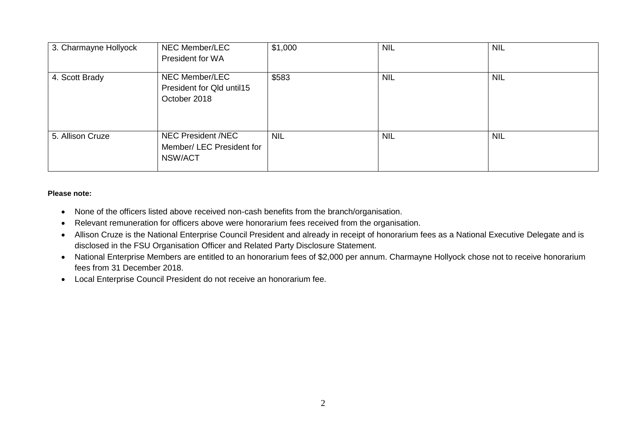| 3. Charmayne Hollyock | NEC Member/LEC<br>President for WA                                | \$1,000    | <b>NIL</b> | <b>NIL</b> |
|-----------------------|-------------------------------------------------------------------|------------|------------|------------|
| 4. Scott Brady        | NEC Member/LEC<br>President for Qld until15<br>October 2018       | \$583      | <b>NIL</b> | <b>NIL</b> |
| 5. Allison Cruze      | <b>NEC President /NEC</b><br>Member/ LEC President for<br>NSW/ACT | <b>NIL</b> | <b>NIL</b> | <b>NIL</b> |

## **Please note:**

- None of the officers listed above received non-cash benefits from the branch/organisation.
- Relevant remuneration for officers above were honorarium fees received from the organisation.
- Allison Cruze is the National Enterprise Council President and already in receipt of honorarium fees as a National Executive Delegate and is disclosed in the FSU Organisation Officer and Related Party Disclosure Statement.
- National Enterprise Members are entitled to an honorarium fees of \$2,000 per annum. Charmayne Hollyock chose not to receive honorarium fees from 31 December 2018.
- Local Enterprise Council President do not receive an honorarium fee.